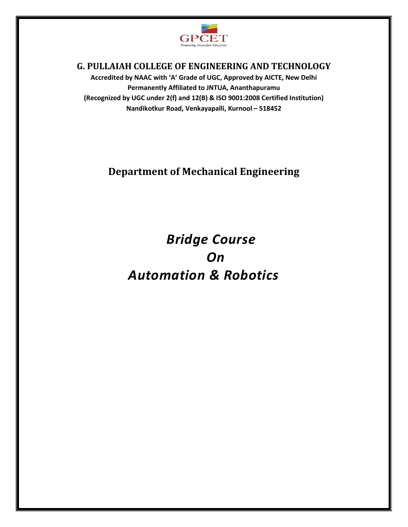

# **G. PULLAIAH COLLEGE OF ENGINEERING AND TECHNOLOGY**

**Accredited by NAAC with ͚A͛ Grade of UGC, Approved by AICTE, New Delhi Permanently Affiliated to JNTUA, Ananthapuramu (Recognized by UGC under 2(f) and 12(B) & ISO 9001:2008 Certified Institution) Nandikotkur Road, Venkayapalli, Kurnool – 518452** 

# **Department of Mechanical Engineering**

 *Bridge Course On Automation & Robotics*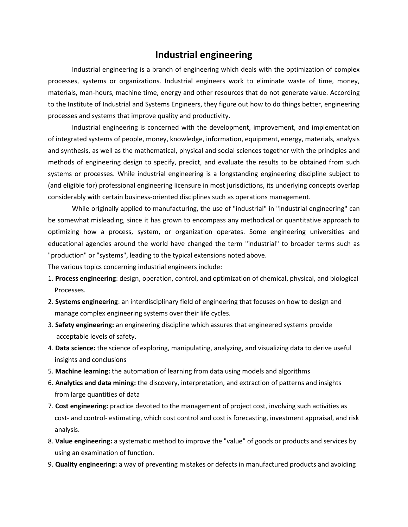# **Industrial engineering**

Industrial engineering is a branch of engineering which deals with the optimization of complex processes, systems or organizations. Industrial engineers work to eliminate waste of time, money, materials, man-hours, machine time, energy and other resources that do not generate value. According to the Institute of Industrial and Systems Engineers, they figure out how to do things better, engineering processes and systems that improve quality and productivity.

Industrial engineering is concerned with the development, improvement, and implementation of integrated systems of people, money, knowledge, information, equipment, energy, materials, analysis and synthesis, as well as the mathematical, physical and social sciences together with the principles and methods of engineering design to specify, predict, and evaluate the results to be obtained from such systems or processes. While industrial engineering is a longstanding engineering discipline subject to (and eligible for) professional engineering licensure in most jurisdictions, its underlying concepts overlap considerably with certain business-oriented disciplines such as operations management.

While originally applied to manufacturing, the use of "industrial" in "industrial engineering" can be somewhat misleading, since it has grown to encompass any methodical or quantitative approach to optimizing how a process, system, or organization operates. Some engineering universities and educational agencies around the world have changed the term "industrial" to broader terms such as "production" or "systems", leading to the typical extensions noted above.

The various topics concerning industrial engineers include:

- 1. **Process engineering**: design, operation, control, and optimization of chemical, physical, and biological Processes.
- 2. **Systems engineering**: an interdisciplinary field of engineering that focuses on how to design and manage complex engineering systems over their life cycles.
- 3. **Safety engineering:** an engineering discipline which assures that engineered systems provide acceptable levels of safety.
- 4. **Data science:** the science of exploring, manipulating, analyzing, and visualizing data to derive useful insights and conclusions
- 5. **Machine learning:** the automation of learning from data using models and algorithms
- 6**. Analytics and data mining:** the discovery, interpretation, and extraction of patterns and insights from large quantities of data
- 7. **Cost engineering:** practice devoted to the management of project cost, involving such activities as cost- and control- estimating, which cost control and cost is forecasting, investment appraisal, and risk analysis.
- 8. **Value engineering:** a systematic method to improve the "value" of goods or products and services by using an examination of function.
- 9. **Quality engineering:** a way of preventing mistakes or defects in manufactured products and avoiding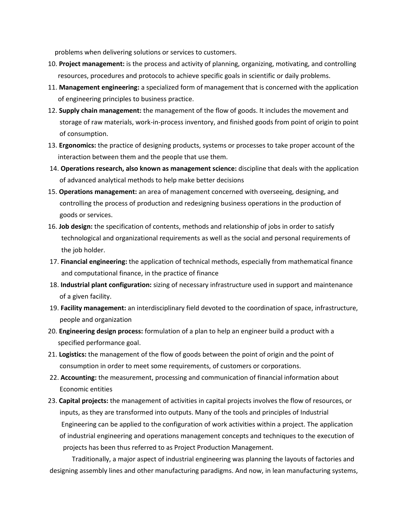problems when delivering solutions or services to customers.

- 10. **Project management:** is the process and activity of planning, organizing, motivating, and controlling resources, procedures and protocols to achieve specific goals in scientific or daily problems.
- 11. **Management engineering:** a specialized form of management that is concerned with the application of engineering principles to business practice.
- 12. **Supply chain management:** the management of the flow of goods. It includes the movement and storage of raw materials, work-in-process inventory, and finished goods from point of origin to point of consumption.
- 13. **Ergonomics:** the practice of designing products, systems or processes to take proper account of the interaction between them and the people that use them.
- 14. **Operations research, also known as management science:** discipline that deals with the application of advanced analytical methods to help make better decisions
- 15. **Operations management:** an area of management concerned with overseeing, designing, and controlling the process of production and redesigning business operations in the production of goods or services.
- 16. **Job design:** the specification of contents, methods and relationship of jobs in order to satisfy technological and organizational requirements as well as the social and personal requirements of the job holder.
- 17. **Financial engineering:** the application of technical methods, especially from mathematical finance and computational finance, in the practice of finance
- 18. **Industrial plant configuration:** sizing of necessary infrastructure used in support and maintenance of a given facility.
- 19. **Facility management:** an interdisciplinary field devoted to the coordination of space, infrastructure, people and organization
- 20. **Engineering design process:** formulation of a plan to help an engineer build a product with a specified performance goal.
- 21. **Logistics:** the management of the flow of goods between the point of origin and the point of consumption in order to meet some requirements, of customers or corporations.
- 22. **Accounting:** the measurement, processing and communication of financial information about Economic entities
- 23. **Capital projects:** the management of activities in capital projects involves the flow of resources, or inputs, as they are transformed into outputs. Many of the tools and principles of Industrial Engineering can be applied to the configuration of work activities within a project. The application of industrial engineering and operations management concepts and techniques to the execution of projects has been thus referred to as Project Production Management.

Traditionally, a major aspect of industrial engineering was planning the layouts of factories and designing assembly lines and other manufacturing paradigms. And now, in lean manufacturing systems,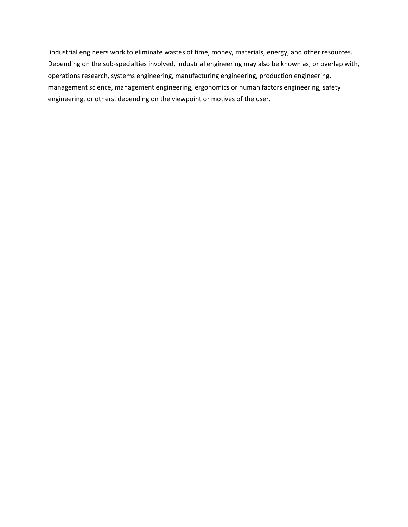industrial engineers work to eliminate wastes of time, money, materials, energy, and other resources. Depending on the sub-specialties involved, industrial engineering may also be known as, or overlap with, operations research, systems engineering, manufacturing engineering, production engineering, management science, management engineering, ergonomics or human factors engineering, safety engineering, or others, depending on the viewpoint or motives of the user.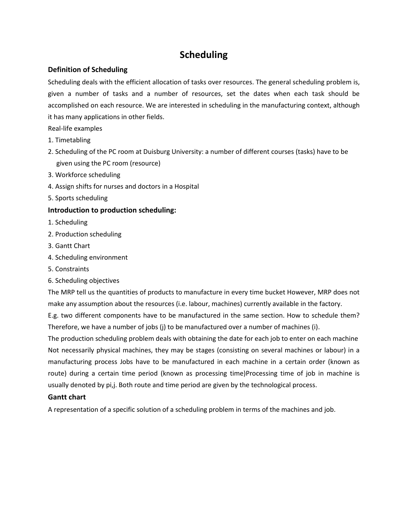# **Scheduling**

## **Definition of Scheduling**

Scheduling deals with the efficient allocation of tasks over resources. The general scheduling problem is, given a number of tasks and a number of resources, set the dates when each task should be accomplished on each resource. We are interested in scheduling in the manufacturing context, although it has many applications in other fields.

Real-life examples

- 1. Timetabling
- 2. Scheduling of the PC room at Duisburg University: a number of different courses (tasks) have to be given using the PC room (resource)
- 3. Workforce scheduling
- 4. Assign shifts for nurses and doctors in a Hospital
- 5. Sports scheduling

## **Introduction to production scheduling:**

- 1. Scheduling
- 2. Production scheduling
- 3. Gantt Chart
- 4. Scheduling environment
- 5. Constraints
- 6. Scheduling objectives

The MRP tell us the quantities of products to manufacture in every time bucket However, MRP does not make any assumption about the resources (i.e. labour, machines) currently available in the factory.

E.g. two different components have to be manufactured in the same section. How to schedule them? Therefore, we have a number of jobs (j) to be manufactured over a number of machines (i).

The production scheduling problem deals with obtaining the date for each job to enter on each machine Not necessarily physical machines, they may be stages (consisting on several machines or labour) in a manufacturing process Jobs have to be manufactured in each machine in a certain order (known as route) during a certain time period (known as processing time)Processing time of job in machine is usually denoted by pi,j. Both route and time period are given by the technological process.

## **Gantt chart**

A representation of a specific solution of a scheduling problem in terms of the machines and job.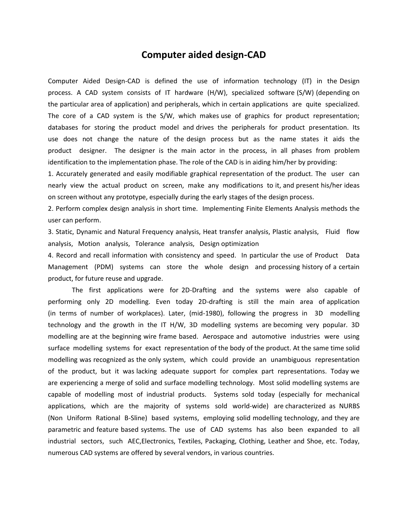# **Computer aided design-CAD**

Computer Aided Design-CAD is defined the use of information technology (IT) in the Design process. A CAD system consists of IT hardware (H/W), specialized software (S/W) (depending on the particular area of application) and peripherals, which in certain applications are quite specialized. The core of a CAD system is the S/W, which makes use of graphics for product representation; databases for storing the product model and drives the peripherals for product presentation. Its use does not change the nature of the design process but as the name states it aids the product designer. The designer is the main actor in the process, in all phases from problem identification to the implementation phase. The role of the CAD is in aiding him/her by providing:

1. Accurately generated and easily modifiable graphical representation of the product. The user can nearly view the actual product on screen, make any modifications to it, and present his/her ideas on screen without any prototype, especially during the early stages of the design process.

2. Perform complex design analysis in short time. Implementing Finite Elements Analysis methods the user can perform.

3. Static, Dynamic and Natural Frequency analysis, Heat transfer analysis, Plastic analysis, Fluid flow analysis, Motion analysis, Tolerance analysis, Design optimization

4. Record and recall information with consistency and speed. In particular the use of Product Data Management (PDM) systems can store the whole design and processing history of a certain product, for future reuse and upgrade.

The first applications were for 2D-Drafting and the systems were also capable of performing only 2D modelling. Even today 2D-drafting is still the main area of application (in terms of number of workplaces). Later, (mid-1980), following the progress in 3D modelling technology and the growth in the IT H/W, 3D modelling systems are becoming very popular. 3D modelling are at the beginning wire frame based. Aerospace and automotive industries were using surface modelling systems for exact representation of the body of the product. At the same time solid modelling was recognized as the only system, which could provide an unambiguous representation of the product, but it was lacking adequate support for complex part representations. Today we are experiencing a merge of solid and surface modelling technology. Most solid modelling systems are capable of modelling most of industrial products. Systems sold today (especially for mechanical applications, which are the majority of systems sold world-wide) are characterized as NURBS (Non Uniform Rational B-Sline) based systems, employing solid modelling technology, and they are parametric and feature based systems. The use of CAD systems has also been expanded to all industrial sectors, such AEC,Electronics, Textiles, Packaging, Clothing, Leather and Shoe, etc. Today, numerous CAD systems are offered by several vendors, in various countries.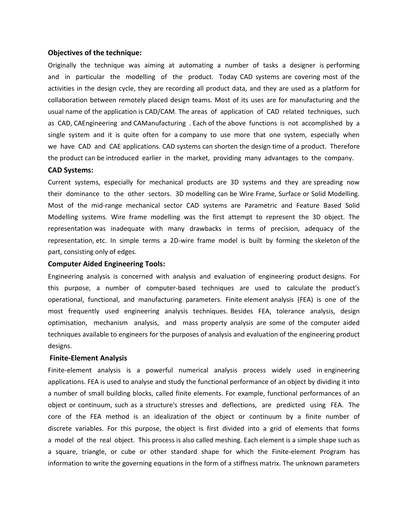#### **Objectives of the technique:**

Originally the technique was aiming at automating a number of tasks a designer is performing and in particular the modelling of the product. Today CAD systems are covering most of the activities in the design cycle, they are recording all product data, and they are used as a platform for collaboration between remotely placed design teams. Most of its uses are for manufacturing and the usual name of the application is CAD/CAM. The areas of application of CAD related techniques, such as CAD, CAEngineering and CAManufacturing . Each of the above functions is not accomplished by a single system and it is quite often for a company to use more that one system, especially when we have CAD and CAE applications. CAD systems can shorten the design time of a product. Therefore the product can be introduced earlier in the market, providing many advantages to the company.

#### **CAD Systems:**

Current systems, especially for mechanical products are 3D systems and they are spreading now their dominance to the other sectors. 3D modelling can be Wire Frame, Surface or Solid Modelling. Most of the mid-range mechanical sector CAD systems are Parametric and Feature Based Solid Modelling systems. Wire frame modelling was the first attempt to represent the 3D object. The representation was inadequate with many drawbacks in terms of precision, adequacy of the representation, etc. In simple terms a 2D-wire frame model is built by forming the skeleton of the part, consisting only of edges.

#### **Computer Aided Engineering Tools:**

Engineering analysis is concerned with analysis and evaluation of engineering product designs. For this purpose, a number of computer-based techniques are used to calculate the product's operational, functional, and manufacturing parameters. Finite element analysis (FEA) is one of the most frequently used engineering analysis techniques. Besides FEA, tolerance analysis, design optimisation, mechanism analysis, and mass property analysis are some of the computer aided techniques available to engineers for the purposes of analysis and evaluation of the engineering product designs.

#### **Finite-Element Analysis**

Finite-element analysis is a powerful numerical analysis process widely used in engineering applications. FEA is used to analyse and study the functional performance of an object by dividing it into a number of small building blocks, called finite elements. For example, functional performances of an object or continuum, such as a structure's stresses and deflections, are predicted using FEA. The core of the FEA method is an idealization of the object or continuum by a finite number of discrete variables. For this purpose, the object is first divided into a grid of elements that forms a model of the real object. This process is also called meshing. Each element is a simple shape such as a square, triangle, or cube or other standard shape for which the Finite-element Program has information to write the governing equations in the form of a stiffness matrix. The unknown parameters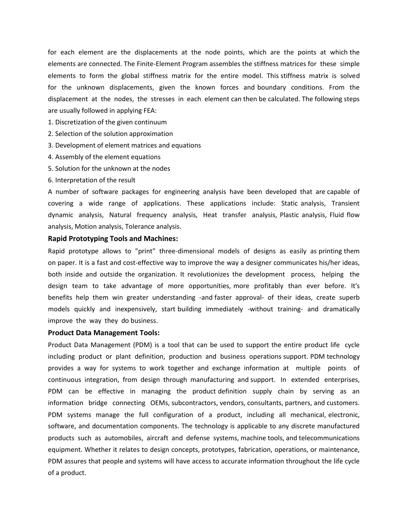for each element are the displacements at the node points, which are the points at which the elements are connected. The Finite-Element Program assembles the stiffness matrices for these simple elements to form the global stiffness matrix for the entire model. This stiffness matrix is solved for the unknown displacements, given the known forces and boundary conditions. From the displacement at the nodes, the stresses in each element can then be calculated. The following steps are usually followed in applying FEA:

1. Discretization of the given continuum

- 2. Selection of the solution approximation
- 3. Development of element matrices and equations
- 4. Assembly of the element equations
- 5. Solution for the unknown at the nodes
- 6. Interpretation of the result

A number of software packages for engineering analysis have been developed that are capable of covering a wide range of applications. These applications include: Static analysis, Transient dynamic analysis, Natural frequency analysis, Heat transfer analysis, Plastic analysis, Fluid flow analysis, Motion analysis, Tolerance analysis.

#### **Rapid Prototyping Tools and Machines:**

Rapid prototype allows to "print" three-dimensional models of designs as easily as printing them on paper. It is a fast and cost-effective way to improve the way a designer communicates his/her ideas, both inside and outside the organization. It revolutionizes the development process, helping the design team to take advantage of more opportunities, more profitably than ever before. It's benefits help them win greater understanding -and faster approval- of their ideas, create superb models quickly and inexpensively, start building immediately -without training- and dramatically improve the way they do business.

#### **Product Data Management Tools:**

Product Data Management (PDM) is a tool that can be used to support the entire product life cycle including product or plant definition, production and business operations support. PDM technology provides a way for systems to work together and exchange information at multiple points of continuous integration, from design through manufacturing and support. In extended enterprises, PDM can be effective in managing the product definition supply chain by serving as an information bridge connecting OEMs, subcontractors, vendors, consultants, partners, and customers. PDM systems manage the full configuration of a product, including all mechanical, electronic, software, and documentation components. The technology is applicable to any discrete manufactured products such as automobiles, aircraft and defense systems, machine tools, and telecommunications equipment. Whether it relates to design concepts, prototypes, fabrication, operations, or maintenance, PDM assures that people and systems will have access to accurate information throughout the life cycle of a product.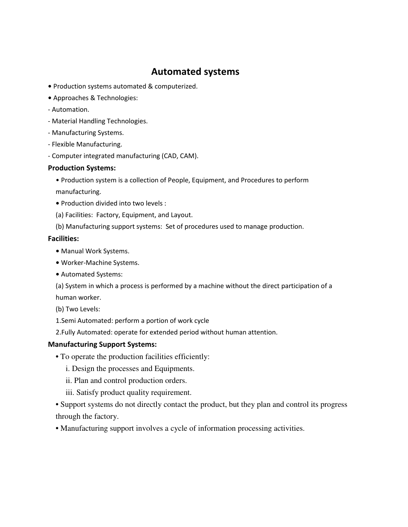# **Automated systems**

- **•** Production systems automated & computerized.
- **•** Approaches & Technologies:
- Automation.
- Material Handling Technologies.
- Manufacturing Systems.
- Flexible Manufacturing.
- Computer integrated manufacturing (CAD, CAM).

#### **Production Systems:**

- Production system is a collection of People, Equipment, and Procedures to perform manufacturing.
- **•** Production divided into two levels :
- (a) Facilities: Factory, Equipment, and Layout.
- (b) Manufacturing support systems: Set of procedures used to manage production.

#### **Facilities:**

- **•** Manual Work Systems.
- **•** Worker-Machine Systems.
- **•** Automated Systems:

(a) System in which a process is performed by a machine without the direct participation of a human worker.

- (b) Two Levels:
- 1.Semi Automated: perform a portion of work cycle
- 2.Fully Automated: operate for extended period without human attention.

## **Manufacturing Support Systems:**

- **•** To operate the production facilities efficiently:
	- i. Design the processes and Equipments.
	- ii. Plan and control production orders.
	- iii. Satisfy product quality requirement.
- **•** Support systems do not directly contact the product, but they plan and control its progress through the factory.
- **•** Manufacturing support involves a cycle of information processing activities.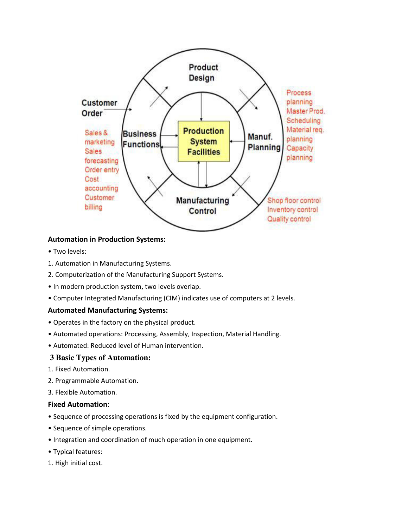

## **Automation in Production Systems:**

- · Two levels:
- 1. Automation in Manufacturing Systems.
- 2. Computerization of the Manufacturing Support Systems.
- In modern production system, two levels overlap.
- Computer Integrated Manufacturing (CIM) indicates use of computers at 2 levels.

#### **Automated Manufacturing Systems:**

- Operates in the factory on the physical product.
- Automated operations: Processing, Assembly, Inspection, Material Handling.
- Automated: Reduced level of Human intervention.

#### **3 Basic Types of Automation:**

- 1. Fixed Automation.
- 2. Programmable Automation.
- 3. Flexible Automation.

#### **Fixed Automation:**

- Sequence of processing operations is fixed by the equipment configuration.
- Sequence of simple operations.
- Integration and coordination of much operation in one equipment.
- Typical features:
- 1. High initial cost.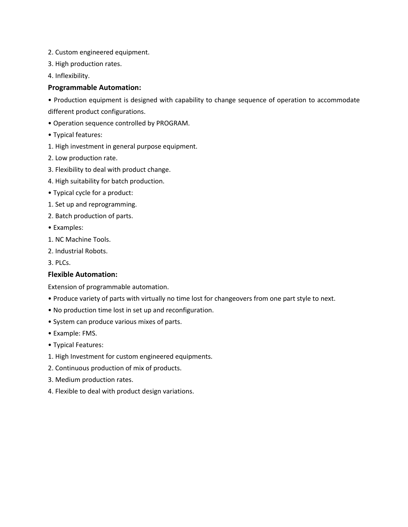- 2. Custom engineered equipment.
- 3. High production rates.
- 4. Inflexibility.

#### **Programmable Automation:**

• Production equipment is designed with capability to change sequence of operation to accommodate different product configurations.

- Operation sequence controlled by PROGRAM.
- Typical features:
- 1. High investment in general purpose equipment.
- 2. Low production rate.
- 3. Flexibility to deal with product change.
- 4. High suitability for batch production.
- Typical cycle for a product:
- 1. Set up and reprogramming.
- 2. Batch production of parts.
- Examples:
- 1. NC Machine Tools.
- 2. Industrial Robots.

3. PLCs.

#### **Flexible Automation:**

Extension of programmable automation.

- . Produce variety of parts with virtually no time lost for changeovers from one part style to next.
- . No production time lost in set up and reconfiguration.
- System can produce various mixes of parts.
- Example: FMS.
- Typical Features:
- 1. High Investment for custom engineered equipments.
- 2. Continuous production of mix of products.
- 3. Medium production rates.
- 4. Flexible to deal with product design variations.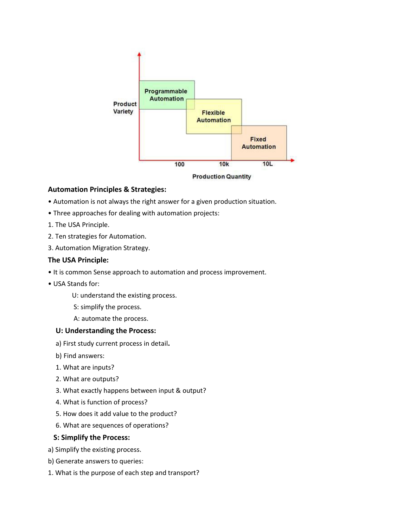

## **Automation Principles & Strategies:**

- Automation is not always the right answer for a given production situation.
- Three approaches for dealing with automation projects:
- 1. The USA Principle.
- 2. Ten strategies for Automation.
- 3. Automation Migration Strategy.

#### **The USA Principle:**

- It is common Sense approach to automation and process improvement.
- USA Stands for:
	- U: understand the existing process.
	- S: simplify the process.
	- A: automate the process.

#### **U: Understanding the Process:**

- a) First study current process in detail**.**
- b) Find answers:
- 1. What are inputs?
- 2. What are outputs?
- 3. What exactly happens between input & output?
- 4. What is function of process?
- 5. How does it add value to the product?
- 6. What are sequences of operations?

#### **S: Simplify the Process:**

- a) Simplify the existing process.
- b) Generate answers to queries:
- 1. What is the purpose of each step and transport?